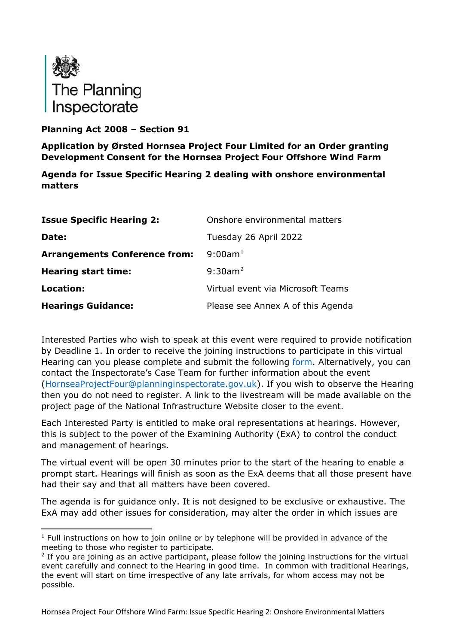

## **Planning Act 2008 – Section 91**

**Application by Ørsted Hornsea Project Four Limited for an Order granting Development Consent for the Hornsea Project Four Offshore Wind Farm**

**Agenda for Issue Specific Hearing 2 dealing with onshore environmental matters**

| <b>Issue Specific Hearing 2:</b>     | Onshore environmental matters     |
|--------------------------------------|-----------------------------------|
| Date:                                | Tuesday 26 April 2022             |
| <b>Arrangements Conference from:</b> | $9:00$ am <sup>1</sup>            |
| <b>Hearing start time:</b>           | $9:30$ am <sup>2</sup>            |
| Location:                            | Virtual event via Microsoft Teams |
| <b>Hearings Guidance:</b>            | Please see Annex A of this Agenda |

Interested Parties who wish to speak at this event were required to provide notification by Deadline 1. In order to receive the joining instructions to participate in this virtual Hearing can you please complete and submit the following [form.](https://forms.office.com/pages/responsepage.aspx?id=mN94WIhvq0iTIpmM5VcIje6FHDvzmKBHiEi84DrjxWpUOEJNN00zTTVVTzhaVUxBSU1KTkFMUjY5SC4u) Alternatively, you can contact the Inspectorate's Case Team for further information about the event [\(HornseaProjectFour@planninginspectorate.gov.uk\)](mailto:HornseaProjectFour@planninginspectorate.gov.uk). If you wish to observe the Hearing then you do not need to register. A link to the livestream will be made available on the project page of the National Infrastructure Website closer to the event.

Each Interested Party is entitled to make oral representations at hearings. However, this is subject to the power of the Examining Authority (ExA) to control the conduct and management of hearings.

The virtual event will be open 30 minutes prior to the start of the hearing to enable a prompt start. Hearings will finish as soon as the ExA deems that all those present have had their say and that all matters have been covered.

The agenda is for guidance only. It is not designed to be exclusive or exhaustive. The ExA may add other issues for consideration, may alter the order in which issues are

<span id="page-0-0"></span> $1$  Full instructions on how to join online or by telephone will be provided in advance of the meeting to those who register to participate.

<span id="page-0-1"></span><sup>&</sup>lt;sup>2</sup> If you are joining as an active participant, please follow the joining instructions for the virtual event carefully and connect to the Hearing in good time. In common with traditional Hearings, the event will start on time irrespective of any late arrivals, for whom access may not be possible.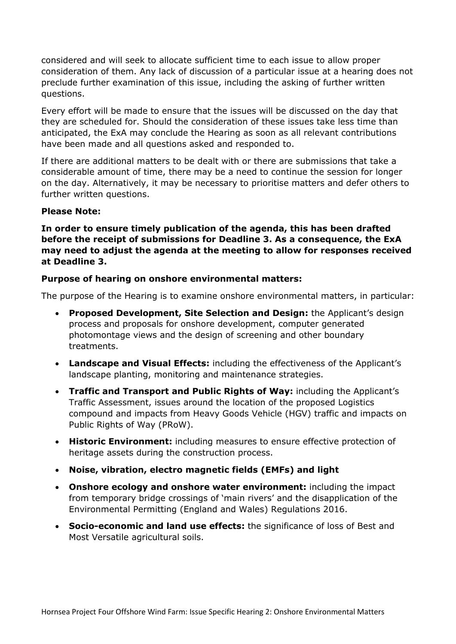considered and will seek to allocate sufficient time to each issue to allow proper consideration of them. Any lack of discussion of a particular issue at a hearing does not preclude further examination of this issue, including the asking of further written questions.

Every effort will be made to ensure that the issues will be discussed on the day that they are scheduled for. Should the consideration of these issues take less time than anticipated, the ExA may conclude the Hearing as soon as all relevant contributions have been made and all questions asked and responded to.

If there are additional matters to be dealt with or there are submissions that take a considerable amount of time, there may be a need to continue the session for longer on the day. Alternatively, it may be necessary to prioritise matters and defer others to further written questions.

#### **Please Note:**

**In order to ensure timely publication of the agenda, this has been drafted before the receipt of submissions for Deadline 3. As a consequence, the ExA may need to adjust the agenda at the meeting to allow for responses received at Deadline 3.**

#### **Purpose of hearing on onshore environmental matters:**

The purpose of the Hearing is to examine onshore environmental matters, in particular:

- **Proposed Development, Site Selection and Design:** the Applicant's design process and proposals for onshore development, computer generated photomontage views and the design of screening and other boundary treatments.
- **Landscape and Visual Effects:** including the effectiveness of the Applicant's landscape planting, monitoring and maintenance strategies.
- **Traffic and Transport and Public Rights of Way:** including the Applicant's Traffic Assessment, issues around the location of the proposed Logistics compound and impacts from Heavy Goods Vehicle (HGV) traffic and impacts on Public Rights of Way (PRoW).
- **Historic Environment:** including measures to ensure effective protection of heritage assets during the construction process.
- **Noise, vibration, electro magnetic fields (EMFs) and light**
- **Onshore ecology and onshore water environment:** including the impact from temporary bridge crossings of 'main rivers' and the disapplication of the Environmental Permitting (England and Wales) Regulations 2016.
- **Socio-economic and land use effects:** the significance of loss of Best and Most Versatile agricultural soils.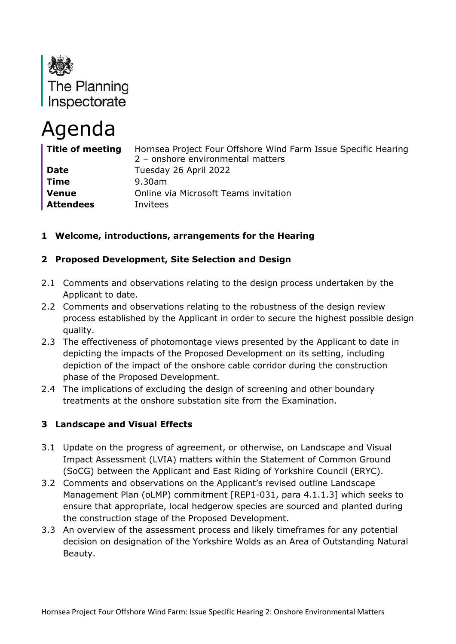

# Agenda

| Title of meeting | Hornsea Project Four Offshore Wind Farm Issue Specific Hearing<br>2 - onshore environmental matters |
|------------------|-----------------------------------------------------------------------------------------------------|
| <b>Date</b>      | Tuesday 26 April 2022                                                                               |
| <b>Time</b>      | 9.30am                                                                                              |
| <b>Venue</b>     | Online via Microsoft Teams invitation                                                               |
| <b>Attendees</b> | Invitees                                                                                            |

## **1 Welcome, introductions, arrangements for the Hearing**

## **2 Proposed Development, Site Selection and Design**

- 2.1 Comments and observations relating to the design process undertaken by the Applicant to date.
- 2.2 Comments and observations relating to the robustness of the design review process established by the Applicant in order to secure the highest possible design quality.
- 2.3 The effectiveness of photomontage views presented by the Applicant to date in depicting the impacts of the Proposed Development on its setting, including depiction of the impact of the onshore cable corridor during the construction phase of the Proposed Development.
- 2.4 The implications of excluding the design of screening and other boundary treatments at the onshore substation site from the Examination.

## **3 Landscape and Visual Effects**

- 3.1 Update on the progress of agreement, or otherwise, on Landscape and Visual Impact Assessment (LVIA) matters within the Statement of Common Ground (SoCG) between the Applicant and East Riding of Yorkshire Council (ERYC).
- 3.2 Comments and observations on the Applicant's revised outline Landscape Management Plan (oLMP) commitment [REP1-031, para 4.1.1.3] which seeks to ensure that appropriate, local hedgerow species are sourced and planted during the construction stage of the Proposed Development.
- 3.3 An overview of the assessment process and likely timeframes for any potential decision on designation of the Yorkshire Wolds as an Area of Outstanding Natural Beauty.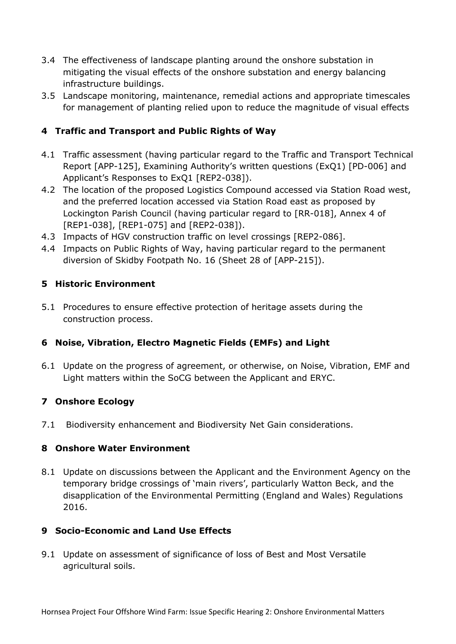- 3.4 The effectiveness of landscape planting around the onshore substation in mitigating the visual effects of the onshore substation and energy balancing infrastructure buildings.
- 3.5 Landscape monitoring, maintenance, remedial actions and appropriate timescales for management of planting relied upon to reduce the magnitude of visual effects

# **4 Traffic and Transport and Public Rights of Way**

- 4.1 Traffic assessment (having particular regard to the Traffic and Transport Technical Report [APP-125], Examining Authority's written questions (ExQ1) [PD-006] and Applicant's Responses to ExQ1 [REP2-038]).
- 4.2 The location of the proposed Logistics Compound accessed via Station Road west, and the preferred location accessed via Station Road east as proposed by Lockington Parish Council (having particular regard to [RR-018], Annex 4 of [REP1-038], [REP1-075] and [REP2-038]).
- 4.3 Impacts of HGV construction traffic on level crossings [REP2-086].
- 4.4 Impacts on Public Rights of Way, having particular regard to the permanent diversion of Skidby Footpath No. 16 (Sheet 28 of [APP-215]).

# **5 Historic Environment**

5.1 Procedures to ensure effective protection of heritage assets during the construction process.

## **6 Noise, Vibration, Electro Magnetic Fields (EMFs) and Light**

6.1 Update on the progress of agreement, or otherwise, on Noise, Vibration, EMF and Light matters within the SoCG between the Applicant and ERYC.

## **7 Onshore Ecology**

7.1 Biodiversity enhancement and Biodiversity Net Gain considerations.

## **8 Onshore Water Environment**

8.1 Update on discussions between the Applicant and the Environment Agency on the temporary bridge crossings of 'main rivers', particularly Watton Beck, and the disapplication of the Environmental Permitting (England and Wales) Regulations 2016.

## **9 Socio-Economic and Land Use Effects**

9.1 Update on assessment of significance of loss of Best and Most Versatile agricultural soils.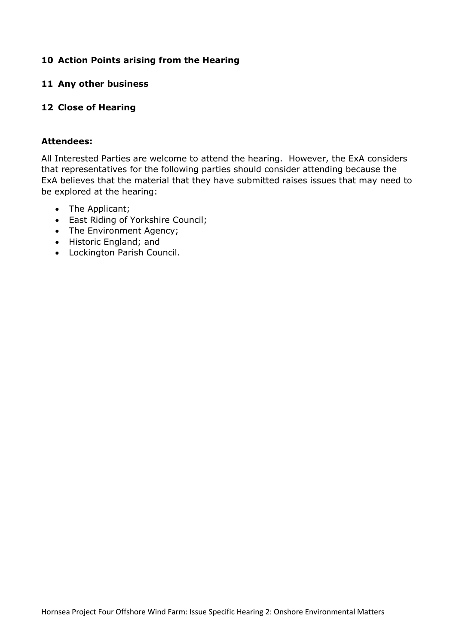#### **10 Action Points arising from the Hearing**

#### **11 Any other business**

#### **12 Close of Hearing**

#### **Attendees:**

All Interested Parties are welcome to attend the hearing. However, the ExA considers that representatives for the following parties should consider attending because the ExA believes that the material that they have submitted raises issues that may need to be explored at the hearing:

- The Applicant;
- East Riding of Yorkshire Council;
- The Environment Agency;
- Historic England; and
- Lockington Parish Council.